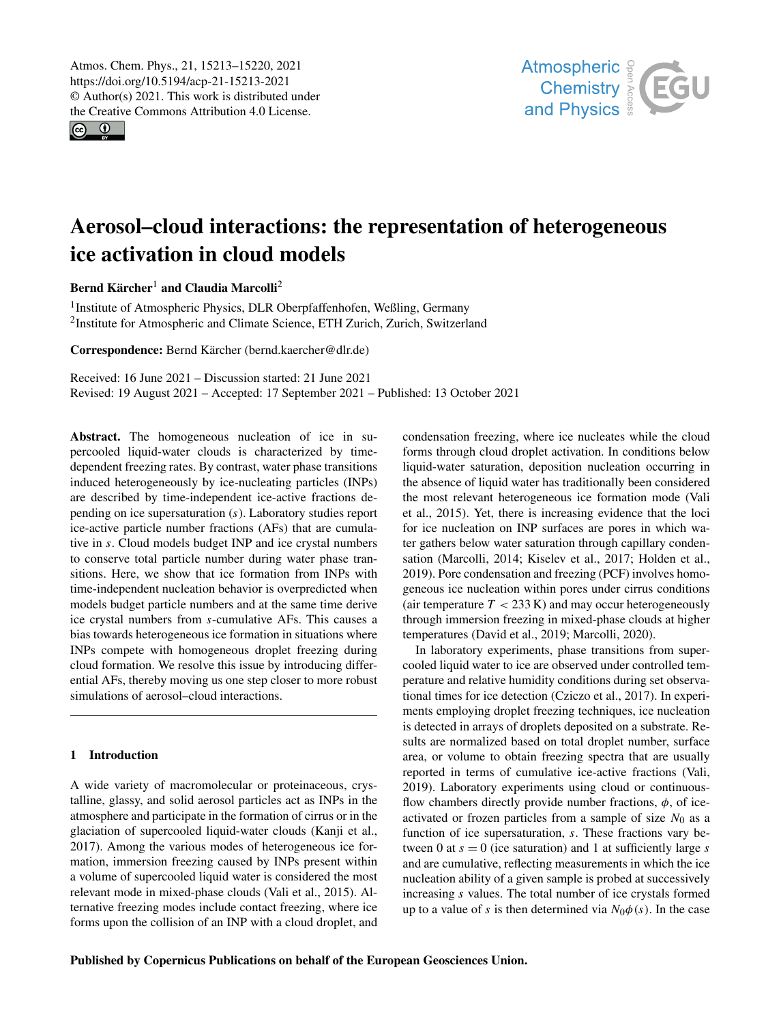$\circledcirc$ 



# Aerosol–cloud interactions: the representation of heterogeneous ice activation in cloud models

Bernd Kärcher<sup>[1](#page-0-0)</sup> and Claudia Marcolli<sup>[2](#page-0-0)</sup>

<sup>1</sup>Institute of Atmospheric Physics, DLR Oberpfaffenhofen, Weßling, Germany <sup>2</sup>Institute for Atmospheric and Climate Science, ETH Zurich, Zurich, Switzerland

Correspondence: Bernd Kärcher (bernd.kaercher@dlr.de)

Received: 16 June 2021 – Discussion started: 21 June 2021 Revised: 19 August 2021 – Accepted: 17 September 2021 – Published: 13 October 2021

<span id="page-0-0"></span>Abstract. The homogeneous nucleation of ice in supercooled liquid-water clouds is characterized by timedependent freezing rates. By contrast, water phase transitions induced heterogeneously by ice-nucleating particles (INPs) are described by time-independent ice-active fractions depending on ice supersaturation (s). Laboratory studies report ice-active particle number fractions (AFs) that are cumulative in s. Cloud models budget INP and ice crystal numbers to conserve total particle number during water phase transitions. Here, we show that ice formation from INPs with time-independent nucleation behavior is overpredicted when models budget particle numbers and at the same time derive ice crystal numbers from s-cumulative AFs. This causes a bias towards heterogeneous ice formation in situations where INPs compete with homogeneous droplet freezing during cloud formation. We resolve this issue by introducing differential AFs, thereby moving us one step closer to more robust simulations of aerosol–cloud interactions.

# 1 Introduction

A wide variety of macromolecular or proteinaceous, crystalline, glassy, and solid aerosol particles act as INPs in the atmosphere and participate in the formation of cirrus or in the glaciation of supercooled liquid-water clouds [\(Kanji et al.,](#page-6-0) [2017\)](#page-6-0). Among the various modes of heterogeneous ice formation, immersion freezing caused by INPs present within a volume of supercooled liquid water is considered the most relevant mode in mixed-phase clouds [\(Vali et al.,](#page-6-1) [2015\)](#page-6-1). Alternative freezing modes include contact freezing, where ice forms upon the collision of an INP with a cloud droplet, and condensation freezing, where ice nucleates while the cloud forms through cloud droplet activation. In conditions below liquid-water saturation, deposition nucleation occurring in the absence of liquid water has traditionally been considered the most relevant heterogeneous ice formation mode [\(Vali](#page-6-1) [et al.,](#page-6-1) [2015\)](#page-6-1). Yet, there is increasing evidence that the loci for ice nucleation on INP surfaces are pores in which water gathers below water saturation through capillary condensation [\(Marcolli,](#page-6-2) [2014;](#page-6-2) [Kiselev et al.,](#page-6-3) [2017;](#page-6-3) [Holden et al.,](#page-6-4) [2019\)](#page-6-4). Pore condensation and freezing (PCF) involves homogeneous ice nucleation within pores under cirrus conditions (air temperature  $T < 233$  K) and may occur heterogeneously through immersion freezing in mixed-phase clouds at higher temperatures [\(David et al.,](#page-6-5) [2019;](#page-6-5) [Marcolli,](#page-6-6) [2020\)](#page-6-6).

In laboratory experiments, phase transitions from supercooled liquid water to ice are observed under controlled temperature and relative humidity conditions during set observational times for ice detection [\(Cziczo et al.,](#page-6-7) [2017\)](#page-6-7). In experiments employing droplet freezing techniques, ice nucleation is detected in arrays of droplets deposited on a substrate. Results are normalized based on total droplet number, surface area, or volume to obtain freezing spectra that are usually reported in terms of cumulative ice-active fractions [\(Vali,](#page-6-8) [2019\)](#page-6-8). Laboratory experiments using cloud or continuousflow chambers directly provide number fractions,  $\phi$ , of iceactivated or frozen particles from a sample of size  $N_0$  as a function of ice supersaturation, s. These fractions vary between 0 at  $s = 0$  (ice saturation) and 1 at sufficiently large s and are cumulative, reflecting measurements in which the ice nucleation ability of a given sample is probed at successively increasing s values. The total number of ice crystals formed up to a value of s is then determined via  $N_0\phi(s)$ . In the case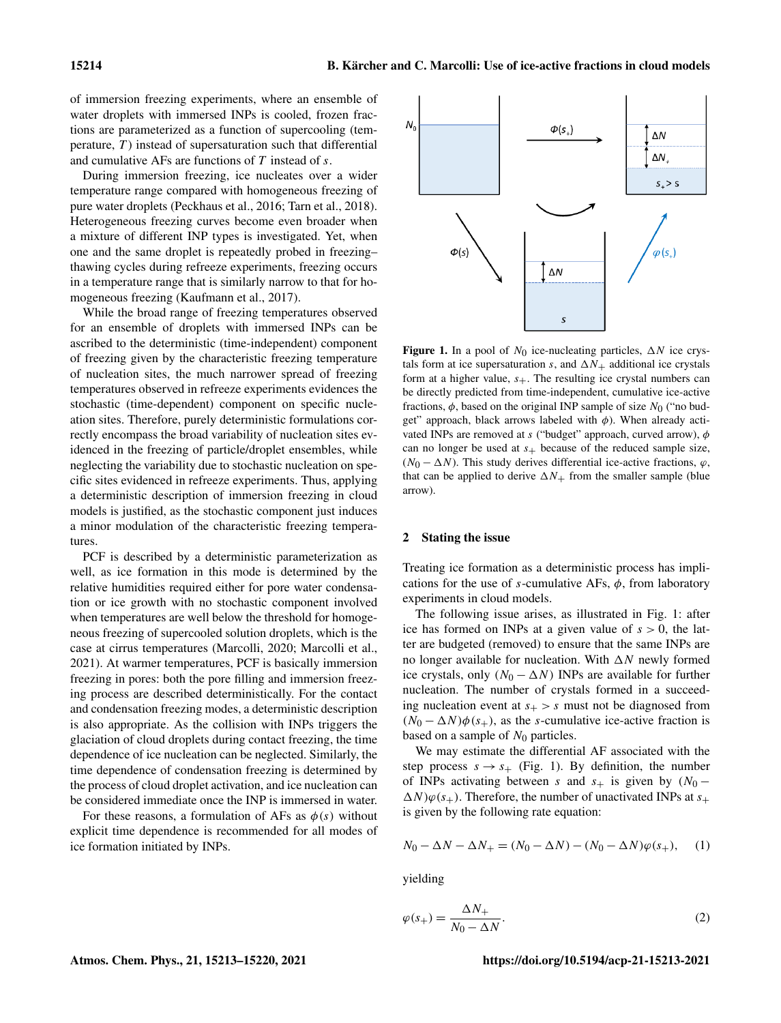of immersion freezing experiments, where an ensemble of water droplets with immersed INPs is cooled, frozen fractions are parameterized as a function of supercooling (temperature,  $T$ ) instead of supersaturation such that differential and cumulative AFs are functions of  $T$  instead of  $s$ .

During immersion freezing, ice nucleates over a wider temperature range compared with homogeneous freezing of pure water droplets [\(Peckhaus et al.,](#page-6-9) [2016;](#page-6-9) [Tarn et al.,](#page-6-10) [2018\)](#page-6-10). Heterogeneous freezing curves become even broader when a mixture of different INP types is investigated. Yet, when one and the same droplet is repeatedly probed in freezing– thawing cycles during refreeze experiments, freezing occurs in a temperature range that is similarly narrow to that for homogeneous freezing [\(Kaufmann et al.,](#page-6-11) [2017\)](#page-6-11).

While the broad range of freezing temperatures observed for an ensemble of droplets with immersed INPs can be ascribed to the deterministic (time-independent) component of freezing given by the characteristic freezing temperature of nucleation sites, the much narrower spread of freezing temperatures observed in refreeze experiments evidences the stochastic (time-dependent) component on specific nucleation sites. Therefore, purely deterministic formulations correctly encompass the broad variability of nucleation sites evidenced in the freezing of particle/droplet ensembles, while neglecting the variability due to stochastic nucleation on specific sites evidenced in refreeze experiments. Thus, applying a deterministic description of immersion freezing in cloud models is justified, as the stochastic component just induces a minor modulation of the characteristic freezing temperatures.

PCF is described by a deterministic parameterization as well, as ice formation in this mode is determined by the relative humidities required either for pore water condensation or ice growth with no stochastic component involved when temperatures are well below the threshold for homogeneous freezing of supercooled solution droplets, which is the case at cirrus temperatures [\(Marcolli,](#page-6-6) [2020;](#page-6-6) [Marcolli et al.,](#page-6-12) [2021\)](#page-6-12). At warmer temperatures, PCF is basically immersion freezing in pores: both the pore filling and immersion freezing process are described deterministically. For the contact and condensation freezing modes, a deterministic description is also appropriate. As the collision with INPs triggers the glaciation of cloud droplets during contact freezing, the time dependence of ice nucleation can be neglected. Similarly, the time dependence of condensation freezing is determined by the process of cloud droplet activation, and ice nucleation can be considered immediate once the INP is immersed in water.

For these reasons, a formulation of AFs as  $\phi(s)$  without explicit time dependence is recommended for all modes of ice formation initiated by INPs.

Figure 1. In a pool of  $N_0$  ice-nucleating particles,  $\Delta N$  ice crystals form at ice supersaturation s, and  $\Delta N_+$  additional ice crystals form at a higher value,  $s_{+}$ . The resulting ice crystal numbers can be directly predicted from time-independent, cumulative ice-active fractions,  $\phi$ , based on the original INP sample of size  $N_0$  ("no budget" approach, black arrows labeled with  $\phi$ ). When already activated INPs are removed at  $s$  ("budget" approach, curved arrow),  $\phi$ can no longer be used at  $s_+$  because of the reduced sample size, ( $N_0 - \Delta N$ ). This study derives differential ice-active fractions,  $\varphi$ , that can be applied to derive  $\Delta N_+$  from the smaller sample (blue arrow).

#### <span id="page-1-1"></span>2 Stating the issue

 $\Phi(s)$ 

Treating ice formation as a deterministic process has implications for the use of s-cumulative AFs,  $\phi$ , from laboratory experiments in cloud models.

The following issue arises, as illustrated in Fig. [1:](#page-1-0) after ice has formed on INPs at a given value of  $s > 0$ , the latter are budgeted (removed) to ensure that the same INPs are no longer available for nucleation. With  $\Delta N$  newly formed ice crystals, only  $(N_0 - \Delta N)$  INPs are available for further nucleation. The number of crystals formed in a succeeding nucleation event at  $s_{+} > s$  must not be diagnosed from  $(N_0 - \Delta N)\phi(s_+)$ , as the s-cumulative ice-active fraction is based on a sample of  $N_0$  particles.

We may estimate the differential AF associated with the step process  $s \rightarrow s_{+}$  (Fig. [1\)](#page-1-0). By definition, the number of INPs activating between s and  $s_+$  is given by  $(N_0 \Delta N$ ) $\varphi$ (s<sub>+</sub>). Therefore, the number of unactivated INPs at s<sub>+</sub> is given by the following rate equation:

$$
N_0 - \Delta N - \Delta N_+ = (N_0 - \Delta N) - (N_0 - \Delta N)\varphi(s_+), \quad (1)
$$

yielding

$$
\varphi(s_+) = \frac{\Delta N_+}{N_0 - \Delta N}.\tag{2}
$$

<span id="page-1-0"></span>

 $\Delta N$ 

S

 $\omega$  (s.)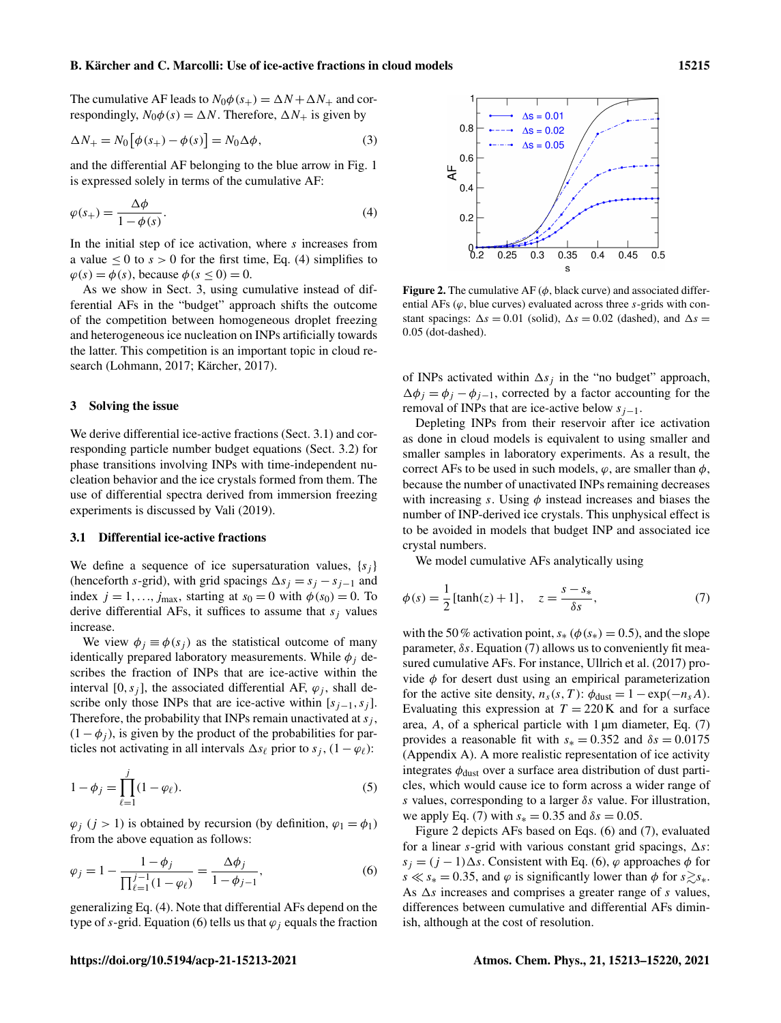#### B. Kärcher and C. Marcolli: Use of ice-active fractions in cloud models 15215

The cumulative AF leads to  $N_0\phi(s_+) = \Delta N + \Delta N_+$  and correspondingly,  $N_0\phi(s) = \Delta N$ . Therefore,  $\Delta N_+$  is given by

$$
\Delta N_{+} = N_0 \left[ \phi(s_+) - \phi(s) \right] = N_0 \Delta \phi, \tag{3}
$$

and the differential AF belonging to the blue arrow in Fig. [1](#page-1-0) is expressed solely in terms of the cumulative AF:

$$
\varphi(s_+) = \frac{\Delta \phi}{1 - \phi(s)}.\tag{4}
$$

In the initial step of ice activation, where s increases from a value  $\leq 0$  to  $s > 0$  for the first time, Eq. [\(4\)](#page-2-0) simplifies to  $\varphi(s) = \varphi(s)$ , because  $\varphi(s \le 0) = 0$ .

As we show in Sect. [3,](#page-2-1) using cumulative instead of differential AFs in the "budget" approach shifts the outcome of the competition between homogeneous droplet freezing and heterogeneous ice nucleation on INPs artificially towards the latter. This competition is an important topic in cloud research [\(Lohmann,](#page-6-13) [2017;](#page-6-13) [Kärcher,](#page-6-14) [2017\)](#page-6-14).

#### <span id="page-2-1"></span>3 Solving the issue

We derive differential ice-active fractions (Sect. [3.1\)](#page-2-2) and corresponding particle number budget equations (Sect. [3.2\)](#page-3-0) for phase transitions involving INPs with time-independent nucleation behavior and the ice crystals formed from them. The use of differential spectra derived from immersion freezing experiments is discussed by [Vali](#page-6-8) [\(2019\)](#page-6-8).

#### <span id="page-2-2"></span>3.1 Differential ice-active fractions

We define a sequence of ice supersaturation values,  $\{s_i\}$ (henceforth s-grid), with grid spacings  $\Delta s_i = s_i - s_{i-1}$  and index  $j = 1, \ldots, j_{\text{max}}$ , starting at  $s_0 = 0$  with  $\phi(s_0) = 0$ . To derive differential AFs, it suffices to assume that  $s_i$  values increase.

We view  $\phi_i \equiv \phi(s_i)$  as the statistical outcome of many identically prepared laboratory measurements. While  $\phi_i$  describes the fraction of INPs that are ice-active within the interval [0, s<sub>i</sub>], the associated differential AF,  $\varphi_i$ , shall describe only those INPs that are ice-active within  $[s_{j-1}, s_j]$ . Therefore, the probability that INPs remain unactivated at  $s_i$ ,  $(1 - \phi_i)$ , is given by the product of the probabilities for particles not activating in all intervals  $\Delta s_\ell$  prior to  $s_j$ ,  $(1 - \varphi_\ell)$ :

$$
1 - \phi_j = \prod_{\ell=1}^j (1 - \varphi_\ell).
$$
 (5)

 $\varphi_i$  (j > 1) is obtained by recursion (by definition,  $\varphi_1 = \varphi_1$ ) from the above equation as follows:

$$
\varphi_j = 1 - \frac{1 - \phi_j}{\prod_{\ell=1}^{j-1} (1 - \varphi_\ell)} = \frac{\Delta \phi_j}{1 - \phi_{j-1}},\tag{6}
$$

generalizing Eq. [\(4\)](#page-2-0). Note that differential AFs depend on the type of s-grid. Equation [\(6\)](#page-2-3) tells us that  $\varphi_i$  equals the fraction

<span id="page-2-5"></span>

<span id="page-2-0"></span>**Figure 2.** The cumulative AF ( $\phi$ , black curve) and associated differential AFs  $(\varphi,$  blue curves) evaluated across three s-grids with constant spacings:  $\Delta s = 0.01$  (solid),  $\Delta s = 0.02$  (dashed), and  $\Delta s =$ 0.05 (dot-dashed).

of INPs activated within  $\Delta s_i$  in the "no budget" approach,  $\Delta \phi_i = \phi_i - \phi_{i-1}$ , corrected by a factor accounting for the removal of INPs that are ice-active below  $s_{j-1}$ .

Depleting INPs from their reservoir after ice activation as done in cloud models is equivalent to using smaller and smaller samples in laboratory experiments. As a result, the correct AFs to be used in such models,  $\varphi$ , are smaller than  $\varphi$ , because the number of unactivated INPs remaining decreases with increasing s. Using  $\phi$  instead increases and biases the number of INP-derived ice crystals. This unphysical effect is to be avoided in models that budget INP and associated ice crystal numbers.

<span id="page-2-4"></span>We model cumulative AFs analytically using

$$
\phi(s) = \frac{1}{2} \left[ \tanh(z) + 1 \right], \quad z = \frac{s - s_*}{\delta s}, \tag{7}
$$

with the 50% activation point,  $s_*(\phi(s_*)=0.5)$ , and the slope parameter,  $\delta s$ . Equation [\(7\)](#page-2-4) allows us to conveniently fit measured cumulative AFs. For instance, [Ullrich et al.](#page-6-15) [\(2017\)](#page-6-15) provide  $\phi$  for desert dust using an empirical parameterization for the active site density,  $n_s(s, T)$ :  $\phi_{\text{dust}} = 1 - \exp(-n_s A)$ . Evaluating this expression at  $T = 220$  K and for a surface area,  $A$ , of a spherical particle with 1  $\mu$ m diameter, Eq. [\(7\)](#page-2-4) provides a reasonable fit with  $s_* = 0.352$  and  $\delta s = 0.0175$ (Appendix [A\)](#page-5-0). A more realistic representation of ice activity integrates  $\phi_{\text{dust}}$  over a surface area distribution of dust particles, which would cause ice to form across a wider range of s values, corresponding to a larger  $\delta s$  value. For illustration, we apply Eq. [\(7\)](#page-2-4) with  $s_* = 0.35$  and  $\delta s = 0.05$ .

<span id="page-2-3"></span>Figure [2](#page-2-5) depicts AFs based on Eqs. [\(6\)](#page-2-3) and [\(7\)](#page-2-4), evaluated for a linear s-grid with various constant grid spacings,  $\Delta s$ :  $s_i = (j - 1)\Delta s$ . Consistent with Eq. [\(6\)](#page-2-3),  $\varphi$  approaches  $\phi$  for  $s \ll s_* = 0.35$ , and  $\varphi$  is significantly lower than  $\phi$  for  $s \gtrsim s_*$ . As  $\Delta s$  increases and comprises a greater range of s values, differences between cumulative and differential AFs diminish, although at the cost of resolution.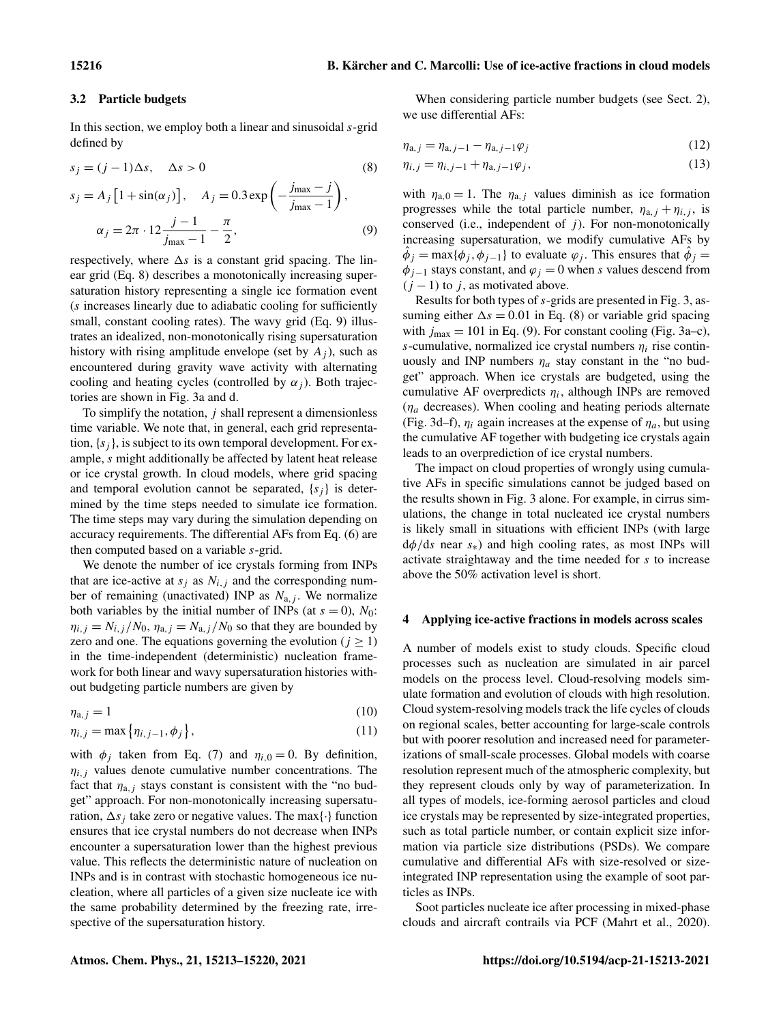#### <span id="page-3-0"></span>3.2 Particle budgets

In this section, we employ both a linear and sinusoidal  $s$ -grid defined by

$$
s_j = (j-1)\Delta s, \quad \Delta s > 0 \tag{8}
$$

$$
s_j = A_j \left[ 1 + \sin(\alpha_j) \right], \quad A_j = 0.3 \exp\left( -\frac{j_{\text{max}} - j}{j_{\text{max}} - 1} \right),
$$

$$
\alpha_j = 2\pi \cdot 12 \frac{j - 1}{j_{\text{max}} - 1} - \frac{\pi}{2},\tag{9}
$$

respectively, where  $\Delta s$  is a constant grid spacing. The linear grid (Eq. [8\)](#page-3-1) describes a monotonically increasing supersaturation history representing a single ice formation event (s increases linearly due to adiabatic cooling for sufficiently small, constant cooling rates). The wavy grid (Eq. [9\)](#page-3-2) illustrates an idealized, non-monotonically rising supersaturation history with rising amplitude envelope (set by  $A_i$ ), such as encountered during gravity wave activity with alternating cooling and heating cycles (controlled by  $\alpha_j$ ). Both trajectories are shown in Fig. [3a](#page-4-0) and d.

To simplify the notation,  $j$  shall represent a dimensionless time variable. We note that, in general, each grid representation,  $\{s_i\}$ , is subject to its own temporal development. For example, s might additionally be affected by latent heat release or ice crystal growth. In cloud models, where grid spacing and temporal evolution cannot be separated,  $\{s_i\}$  is determined by the time steps needed to simulate ice formation. The time steps may vary during the simulation depending on accuracy requirements. The differential AFs from Eq. [\(6\)](#page-2-3) are then computed based on a variable s-grid.

We denote the number of ice crystals forming from INPs that are ice-active at  $s_i$  as  $N_{i,j}$  and the corresponding number of remaining (unactivated) INP as  $N_{a,j}$ . We normalize both variables by the initial number of INPs (at  $s = 0$ ),  $N_0$ :  $\eta_{i,j} = N_{i,j} / N_0$ ,  $\eta_{a,j} = N_{a,j} / N_0$  so that they are bounded by zero and one. The equations governing the evolution ( $j \ge 1$ ) in the time-independent (deterministic) nucleation framework for both linear and wavy supersaturation histories without budgeting particle numbers are given by

$$
\eta_{a,j} = 1\tag{10}
$$

$$
\eta_{i,j} = \max\left\{\eta_{i,j-1}, \phi_j\right\},\tag{11}
$$

with  $\phi_j$  taken from Eq. [\(7\)](#page-2-4) and  $\eta_{i,0} = 0$ . By definition,  $\eta_{i,j}$  values denote cumulative number concentrations. The fact that  $\eta_{a,j}$  stays constant is consistent with the "no budget" approach. For non-monotonically increasing supersaturation,  $\Delta s_i$  take zero or negative values. The max{·} function ensures that ice crystal numbers do not decrease when INPs encounter a supersaturation lower than the highest previous value. This reflects the deterministic nature of nucleation on INPs and is in contrast with stochastic homogeneous ice nucleation, where all particles of a given size nucleate ice with the same probability determined by the freezing rate, irrespective of the supersaturation history.

When considering particle number budgets (see Sect. [2\)](#page-1-1), we use differential AFs:

<span id="page-3-4"></span><span id="page-3-3"></span>
$$
\eta_{a,j} = \eta_{a,j-1} - \eta_{a,j-1}\varphi_j \tag{12}
$$

<span id="page-3-1"></span>
$$
\eta_{i,j} = \eta_{i,j-1} + \eta_{a,j-1}\varphi_j,\tag{13}
$$

<span id="page-3-2"></span>with  $\eta_{a,0} = 1$ . The  $\eta_{a,j}$  values diminish as ice formation progresses while the total particle number,  $\eta_{a,j} + \eta_{i,j}$ , is conserved (i.e., independent of  $j$ ). For non-monotonically increasing supersaturation, we modify cumulative AFs by  $\hat{\phi}_j = \max{\{\phi_j, \phi_{j-1}\}}$  to evaluate  $\varphi_j$ . This ensures that  $\hat{\phi}_j =$  $\phi_{j-1}$  stays constant, and  $\varphi_j = 0$  when s values descend from  $(j - 1)$  to j, as motivated above.

Results for both types of s-grids are presented in Fig. [3,](#page-4-0) assuming either  $\Delta s = 0.01$  in Eq. [\(8\)](#page-3-1) or variable grid spacing with  $j_{\text{max}} = 101$  in Eq. [\(9\)](#page-3-2). For constant cooling (Fig. [3a](#page-4-0)–c), s-cumulative, normalized ice crystal numbers  $\eta_i$  rise continuously and INP numbers  $\eta_a$  stay constant in the "no budget" approach. When ice crystals are budgeted, using the cumulative AF overpredicts  $\eta_i$ , although INPs are removed  $(\eta_a)$  decreases). When cooling and heating periods alternate (Fig. [3d](#page-4-0)–f),  $\eta_i$  again increases at the expense of  $\eta_a$ , but using the cumulative AF together with budgeting ice crystals again leads to an overprediction of ice crystal numbers.

The impact on cloud properties of wrongly using cumulative AFs in specific simulations cannot be judged based on the results shown in Fig. [3](#page-4-0) alone. For example, in cirrus simulations, the change in total nucleated ice crystal numbers is likely small in situations with efficient INPs (with large  $d\phi/ds$  near  $s_{*}$ ) and high cooling rates, as most INPs will activate straightaway and the time needed for s to increase above the 50% activation level is short.

#### 4 Applying ice-active fractions in models across scales

A number of models exist to study clouds. Specific cloud processes such as nucleation are simulated in air parcel models on the process level. Cloud-resolving models simulate formation and evolution of clouds with high resolution. Cloud system-resolving models track the life cycles of clouds on regional scales, better accounting for large-scale controls but with poorer resolution and increased need for parameterizations of small-scale processes. Global models with coarse resolution represent much of the atmospheric complexity, but they represent clouds only by way of parameterization. In all types of models, ice-forming aerosol particles and cloud ice crystals may be represented by size-integrated properties, such as total particle number, or contain explicit size information via particle size distributions (PSDs). We compare cumulative and differential AFs with size-resolved or sizeintegrated INP representation using the example of soot particles as INPs.

Soot particles nucleate ice after processing in mixed-phase clouds and aircraft contrails via PCF [\(Mahrt et al.,](#page-6-16) [2020\)](#page-6-16).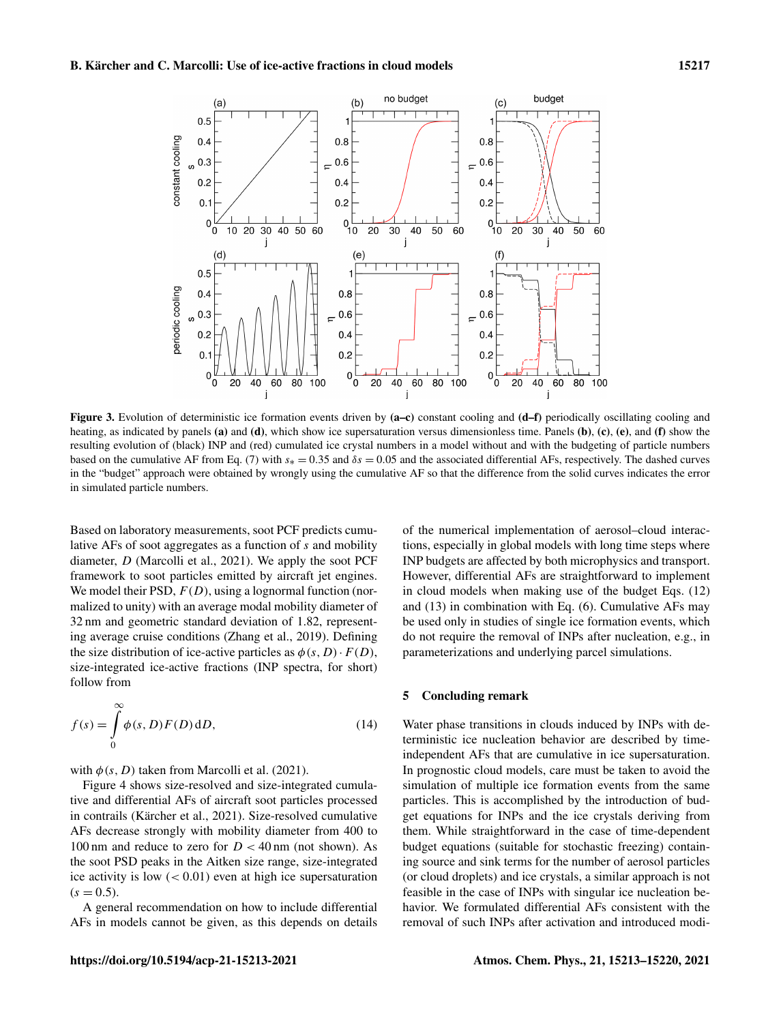<span id="page-4-0"></span>

Figure 3. Evolution of deterministic ice formation events driven by (a–c) constant cooling and (d–f) periodically oscillating cooling and heating, as indicated by panels (a) and (d), which show ice supersaturation versus dimensionless time. Panels (b), (c), (e), and (f) show the resulting evolution of (black) INP and (red) cumulated ice crystal numbers in a model without and with the budgeting of particle numbers based on the cumulative AF from Eq. [\(7\)](#page-2-4) with  $s<sub>*</sub> = 0.35$  and  $\delta s = 0.05$  and the associated differential AFs, respectively. The dashed curves in the "budget" approach were obtained by wrongly using the cumulative AF so that the difference from the solid curves indicates the error in simulated particle numbers.

Based on laboratory measurements, soot PCF predicts cumulative AFs of soot aggregates as a function of s and mobility diameter, D [\(Marcolli et al.,](#page-6-12) [2021\)](#page-6-12). We apply the soot PCF framework to soot particles emitted by aircraft jet engines. We model their PSD,  $F(D)$ , using a lognormal function (normalized to unity) with an average modal mobility diameter of 32 nm and geometric standard deviation of 1.82, representing average cruise conditions [\(Zhang et al.,](#page-7-0) [2019\)](#page-7-0). Defining the size distribution of ice-active particles as  $\phi(s, D) \cdot F(D)$ , size-integrated ice-active fractions (INP spectra, for short) follow from

$$
f(s) = \int_{0}^{\infty} \phi(s, D) F(D) dD,
$$
 (14)

with  $\phi(s, D)$  taken from [Marcolli et al.](#page-6-12) [\(2021\)](#page-6-12).

Figure [4](#page-5-1) shows size-resolved and size-integrated cumulative and differential AFs of aircraft soot particles processed in contrails [\(Kärcher et al.,](#page-6-17) [2021\)](#page-6-17). Size-resolved cumulative AFs decrease strongly with mobility diameter from 400 to 100 nm and reduce to zero for  $D < 40$  nm (not shown). As the soot PSD peaks in the Aitken size range, size-integrated ice activity is low  $(< 0.01$ ) even at high ice supersaturation  $(s = 0.5)$ .

A general recommendation on how to include differential AFs in models cannot be given, as this depends on details of the numerical implementation of aerosol–cloud interactions, especially in global models with long time steps where INP budgets are affected by both microphysics and transport. However, differential AFs are straightforward to implement in cloud models when making use of the budget Eqs. [\(12\)](#page-3-3) and [\(13\)](#page-3-4) in combination with Eq. [\(6\)](#page-2-3). Cumulative AFs may be used only in studies of single ice formation events, which do not require the removal of INPs after nucleation, e.g., in parameterizations and underlying parcel simulations.

## 5 Concluding remark

Water phase transitions in clouds induced by INPs with deterministic ice nucleation behavior are described by timeindependent AFs that are cumulative in ice supersaturation. In prognostic cloud models, care must be taken to avoid the simulation of multiple ice formation events from the same particles. This is accomplished by the introduction of budget equations for INPs and the ice crystals deriving from them. While straightforward in the case of time-dependent budget equations (suitable for stochastic freezing) containing source and sink terms for the number of aerosol particles (or cloud droplets) and ice crystals, a similar approach is not feasible in the case of INPs with singular ice nucleation behavior. We formulated differential AFs consistent with the removal of such INPs after activation and introduced modi-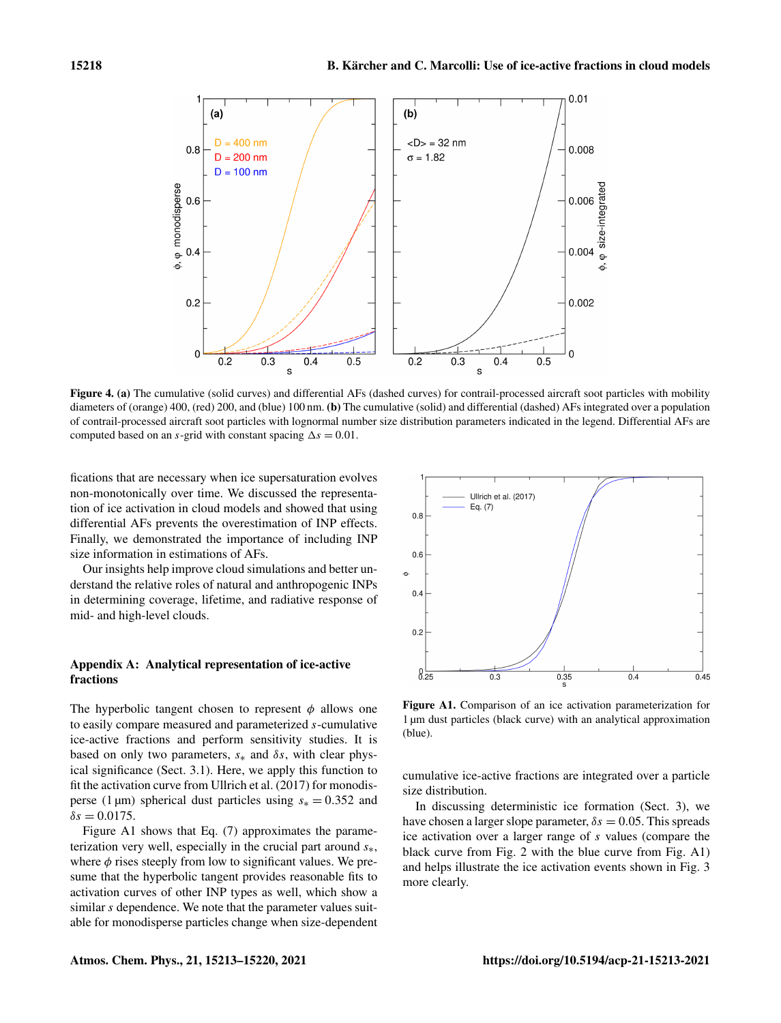<span id="page-5-1"></span>

Figure 4. (a) The cumulative (solid curves) and differential AFs (dashed curves) for contrail-processed aircraft soot particles with mobility diameters of (orange) 400, (red) 200, and (blue) 100 nm. (b) The cumulative (solid) and differential (dashed) AFs integrated over a population of contrail-processed aircraft soot particles with lognormal number size distribution parameters indicated in the legend. Differential AFs are computed based on an s-grid with constant spacing  $\Delta s = 0.01$ .

fications that are necessary when ice supersaturation evolves non-monotonically over time. We discussed the representation of ice activation in cloud models and showed that using differential AFs prevents the overestimation of INP effects. Finally, we demonstrated the importance of including INP size information in estimations of AFs.

Our insights help improve cloud simulations and better understand the relative roles of natural and anthropogenic INPs in determining coverage, lifetime, and radiative response of mid- and high-level clouds.

# <span id="page-5-0"></span>Appendix A: Analytical representation of ice-active fractions

The hyperbolic tangent chosen to represent  $\phi$  allows one to easily compare measured and parameterized s-cumulative ice-active fractions and perform sensitivity studies. It is based on only two parameters,  $s_*$  and  $\delta s$ , with clear physical significance (Sect. [3.1\)](#page-2-2). Here, we apply this function to fit the activation curve from [Ullrich et al.](#page-6-15) [\(2017\)](#page-6-15) for monodisperse (1 µm) spherical dust particles using  $s_* = 0.352$  and  $\delta s = 0.0175$ .

Figure [A1](#page-5-2) shows that Eq. [\(7\)](#page-2-4) approximates the parameterization very well, especially in the crucial part around  $s_{*}$ , where  $\phi$  rises steeply from low to significant values. We presume that the hyperbolic tangent provides reasonable fits to activation curves of other INP types as well, which show a similar s dependence. We note that the parameter values suitable for monodisperse particles change when size-dependent

<span id="page-5-2"></span>

Figure A1. Comparison of an ice activation parameterization for 1 µm dust particles (black curve) with an analytical approximation (blue).

cumulative ice-active fractions are integrated over a particle size distribution.

In discussing deterministic ice formation (Sect. [3\)](#page-2-1), we have chosen a larger slope parameter,  $\delta s = 0.05$ . This spreads ice activation over a larger range of s values (compare the black curve from Fig. [2](#page-2-5) with the blue curve from Fig. [A1\)](#page-5-2) and helps illustrate the ice activation events shown in Fig. [3](#page-4-0) more clearly.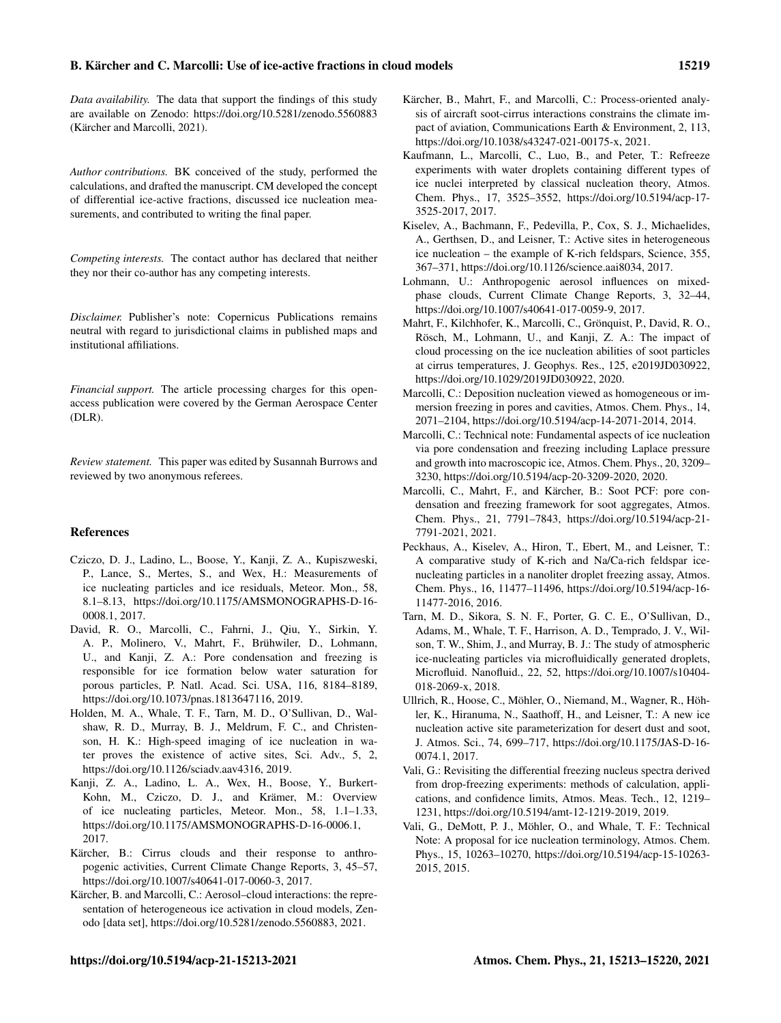### B. Kärcher and C. Marcolli: Use of ice-active fractions in cloud models 15219

*Data availability.* The data that support the findings of this study are available on Zenodo: https://doi.org[/10.5281/zenodo.5560883](https://doi.org/10.5281/zenodo.5560883) [\(Kärcher and Marcolli,](#page-6-18) [2021\)](#page-6-18).

*Author contributions.* BK conceived of the study, performed the calculations, and drafted the manuscript. CM developed the concept of differential ice-active fractions, discussed ice nucleation measurements, and contributed to writing the final paper.

*Competing interests.* The contact author has declared that neither they nor their co-author has any competing interests.

*Disclaimer.* Publisher's note: Copernicus Publications remains neutral with regard to jurisdictional claims in published maps and institutional affiliations.

*Financial support.* The article processing charges for this openaccess publication were covered by the German Aerospace Center (DLR).

*Review statement.* This paper was edited by Susannah Burrows and reviewed by two anonymous referees.

#### **References**

- <span id="page-6-7"></span>Cziczo, D. J., Ladino, L., Boose, Y., Kanji, Z. A., Kupiszweski, P., Lance, S., Mertes, S., and Wex, H.: Measurements of ice nucleating particles and ice residuals, Meteor. Mon., 58, 8.1–8.13, https://doi.org[/10.1175/AMSMONOGRAPHS-D-16-](https://doi.org/10.1175/AMSMONOGRAPHS-D-16-0008.1) [0008.1,](https://doi.org/10.1175/AMSMONOGRAPHS-D-16-0008.1) 2017.
- <span id="page-6-5"></span>David, R. O., Marcolli, C., Fahrni, J., Qiu, Y., Sirkin, Y. A. P., Molinero, V., Mahrt, F., Brühwiler, D., Lohmann, U., and Kanji, Z. A.: Pore condensation and freezing is responsible for ice formation below water saturation for porous particles, P. Natl. Acad. Sci. USA, 116, 8184–8189, https://doi.org[/10.1073/pnas.1813647116,](https://doi.org/10.1073/pnas.1813647116) 2019.
- <span id="page-6-4"></span>Holden, M. A., Whale, T. F., Tarn, M. D., O'Sullivan, D., Walshaw, R. D., Murray, B. J., Meldrum, F. C., and Christenson, H. K.: High-speed imaging of ice nucleation in water proves the existence of active sites, Sci. Adv., 5, 2, https://doi.org[/10.1126/sciadv.aav4316,](https://doi.org/10.1126/sciadv.aav4316) 2019.
- <span id="page-6-0"></span>Kanji, Z. A., Ladino, L. A., Wex, H., Boose, Y., Burkert-Kohn, M., Cziczo, D. J., and Krämer, M.: Overview of ice nucleating particles, Meteor. Mon., 58, 1.1–1.33, https://doi.org[/10.1175/AMSMONOGRAPHS-D-16-0006.1,](https://doi.org/10.1175/AMSMONOGRAPHS-D-16-0006.1) 2017.
- <span id="page-6-14"></span>Kärcher, B.: Cirrus clouds and their response to anthropogenic activities, Current Climate Change Reports, 3, 45–57, https://doi.org[/10.1007/s40641-017-0060-3,](https://doi.org/10.1007/s40641-017-0060-3) 2017.
- <span id="page-6-18"></span>Kärcher, B. and Marcolli, C.: Aerosol–cloud interactions: the representation of heterogeneous ice activation in cloud models, Zenodo [data set], https://doi.org[/10.5281/zenodo.5560883,](https://doi.org/10.5281/zenodo.5560883) 2021.
- <span id="page-6-17"></span>Kärcher, B., Mahrt, F., and Marcolli, C.: Process-oriented analysis of aircraft soot-cirrus interactions constrains the climate impact of aviation, Communications Earth & Environment, 2, 113, https://doi.org[/10.1038/s43247-021-00175-x,](https://doi.org/10.1038/s43247-021-00175-x) 2021.
- <span id="page-6-11"></span>Kaufmann, L., Marcolli, C., Luo, B., and Peter, T.: Refreeze experiments with water droplets containing different types of ice nuclei interpreted by classical nucleation theory, Atmos. Chem. Phys., 17, 3525–3552, https://doi.org[/10.5194/acp-17-](https://doi.org/10.5194/acp-17-3525-2017) [3525-2017,](https://doi.org/10.5194/acp-17-3525-2017) 2017.
- <span id="page-6-3"></span>Kiselev, A., Bachmann, F., Pedevilla, P., Cox, S. J., Michaelides, A., Gerthsen, D., and Leisner, T.: Active sites in heterogeneous ice nucleation – the example of K-rich feldspars, Science, 355, 367–371, https://doi.org[/10.1126/science.aai8034,](https://doi.org/10.1126/science.aai8034) 2017.
- <span id="page-6-13"></span>Lohmann, U.: Anthropogenic aerosol influences on mixedphase clouds, Current Climate Change Reports, 3, 32–44, https://doi.org[/10.1007/s40641-017-0059-9,](https://doi.org/10.1007/s40641-017-0059-9) 2017.
- <span id="page-6-16"></span>Mahrt, F., Kilchhofer, K., Marcolli, C., Grönquist, P., David, R. O., Rösch, M., Lohmann, U., and Kanji, Z. A.: The impact of cloud processing on the ice nucleation abilities of soot particles at cirrus temperatures, J. Geophys. Res., 125, e2019JD030922, https://doi.org[/10.1029/2019JD030922,](https://doi.org/10.1029/2019JD030922) 2020.
- <span id="page-6-2"></span>Marcolli, C.: Deposition nucleation viewed as homogeneous or immersion freezing in pores and cavities, Atmos. Chem. Phys., 14, 2071–2104, https://doi.org[/10.5194/acp-14-2071-2014,](https://doi.org/10.5194/acp-14-2071-2014) 2014.
- <span id="page-6-6"></span>Marcolli, C.: Technical note: Fundamental aspects of ice nucleation via pore condensation and freezing including Laplace pressure and growth into macroscopic ice, Atmos. Chem. Phys., 20, 3209– 3230, https://doi.org[/10.5194/acp-20-3209-2020,](https://doi.org/10.5194/acp-20-3209-2020) 2020.
- <span id="page-6-12"></span>Marcolli, C., Mahrt, F., and Kärcher, B.: Soot PCF: pore condensation and freezing framework for soot aggregates, Atmos. Chem. Phys., 21, 7791–7843, https://doi.org[/10.5194/acp-21-](https://doi.org/10.5194/acp-21-7791-2021) [7791-2021,](https://doi.org/10.5194/acp-21-7791-2021) 2021.
- <span id="page-6-9"></span>Peckhaus, A., Kiselev, A., Hiron, T., Ebert, M., and Leisner, T.: A comparative study of K-rich and Na/Ca-rich feldspar icenucleating particles in a nanoliter droplet freezing assay, Atmos. Chem. Phys., 16, 11477–11496, https://doi.org[/10.5194/acp-16-](https://doi.org/10.5194/acp-16-11477-2016) [11477-2016,](https://doi.org/10.5194/acp-16-11477-2016) 2016.
- <span id="page-6-10"></span>Tarn, M. D., Sikora, S. N. F., Porter, G. C. E., O'Sullivan, D., Adams, M., Whale, T. F., Harrison, A. D., Temprado, J. V., Wilson, T. W., Shim, J., and Murray, B. J.: The study of atmospheric ice-nucleating particles via microfluidically generated droplets, Microfluid. Nanofluid., 22, 52, https://doi.org[/10.1007/s10404-](https://doi.org/10.1007/s10404-018-2069-x) [018-2069-x,](https://doi.org/10.1007/s10404-018-2069-x) 2018.
- <span id="page-6-15"></span>Ullrich, R., Hoose, C., Möhler, O., Niemand, M., Wagner, R., Höhler, K., Hiranuma, N., Saathoff, H., and Leisner, T.: A new ice nucleation active site parameterization for desert dust and soot, J. Atmos. Sci., 74, 699–717, https://doi.org[/10.1175/JAS-D-16-](https://doi.org/10.1175/JAS-D-16-0074.1) [0074.1,](https://doi.org/10.1175/JAS-D-16-0074.1) 2017.
- <span id="page-6-8"></span>Vali, G.: Revisiting the differential freezing nucleus spectra derived from drop-freezing experiments: methods of calculation, applications, and confidence limits, Atmos. Meas. Tech., 12, 1219– 1231, https://doi.org[/10.5194/amt-12-1219-2019,](https://doi.org/10.5194/amt-12-1219-2019) 2019.
- <span id="page-6-1"></span>Vali, G., DeMott, P. J., Möhler, O., and Whale, T. F.: Technical Note: A proposal for ice nucleation terminology, Atmos. Chem. Phys., 15, 10263–10270, https://doi.org[/10.5194/acp-15-10263-](https://doi.org/10.5194/acp-15-10263-2015) [2015,](https://doi.org/10.5194/acp-15-10263-2015) 2015.